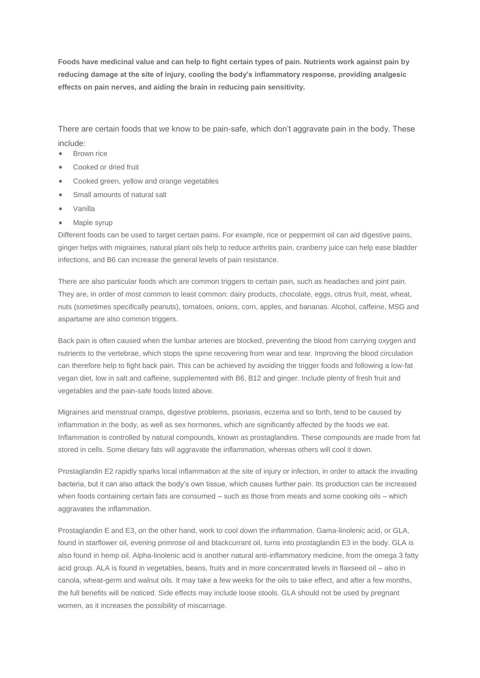**Foods have medicinal value and can help to fight certain types of pain. Nutrients work against pain by reducing damage at the site of injury, cooling the body's inflammatory response, providing analgesic effects on pain nerves, and aiding the brain in reducing pain sensitivity.**

There are certain foods that we know to be pain-safe, which don't aggravate pain in the body. These include:

- Brown rice
- Cooked or dried fruit
- Cooked green, yellow and orange vegetables
- Small amounts of natural salt
- Vanilla
- Maple syrup

Different foods can be used to target certain pains. For example, rice or peppermint oil can aid digestive pains, ginger helps with migraines, natural plant oils help to reduce arthritis pain, cranberry juice can help ease bladder infections, and B6 can increase the general levels of pain resistance.

There are also particular foods which are common triggers to certain pain, such as headaches and joint pain. They are, in order of most common to least common: dairy products, chocolate, eggs, citrus fruit, meat, wheat, nuts (sometimes specifically peanuts), tomatoes, onions, corn, apples, and bananas. Alcohol, caffeine, MSG and aspartame are also common triggers.

Back pain is often caused when the lumbar arteries are blocked, preventing the blood from carrying oxygen and nutrients to the vertebrae, which stops the spine recovering from wear and tear. Improving the blood circulation can therefore help to fight back pain. This can be achieved by avoiding the trigger foods and following a low-fat vegan diet, low in salt and caffeine, supplemented with B6, B12 and ginger. Include plenty of fresh fruit and vegetables and the pain-safe foods listed above.

Migraines and menstrual cramps, digestive problems, psoriasis, eczema and so forth, tend to be caused by inflammation in the body, as well as sex hormones, which are significantly affected by the foods we eat. Inflammation is controlled by natural compounds, known as prostaglandins. These compounds are made from fat stored in cells. Some dietary fats will aggravate the inflammation, whereas others will cool it down.

Prostaglandin E2 rapidly sparks local inflammation at the site of injury or infection, in order to attack the invading bacteria, but it can also attack the body's own tissue, which causes further pain. Its production can be increased when foods containing certain fats are consumed – such as those from meats and some cooking oils – which aggravates the inflammation.

Prostaglandin E and E3, on the other hand, work to cool down the inflammation. Gama-linolenic acid, or GLA, found in starflower oil, evening primrose oil and blackcurrant oil, turns into prostaglandin E3 in the body. GLA is also found in hemp oil. Alpha-linolenic acid is another natural anti-inflammatory medicine, from the omega 3 fatty acid group. ALA is found in vegetables, beans, fruits and in more concentrated levels in flaxseed oil – also in canola, wheat-germ and walnut oils. It may take a few weeks for the oils to take effect, and after a few months, the full benefits will be noticed. Side effects may include loose stools. GLA should not be used by pregnant women, as it increases the possibility of miscarriage.